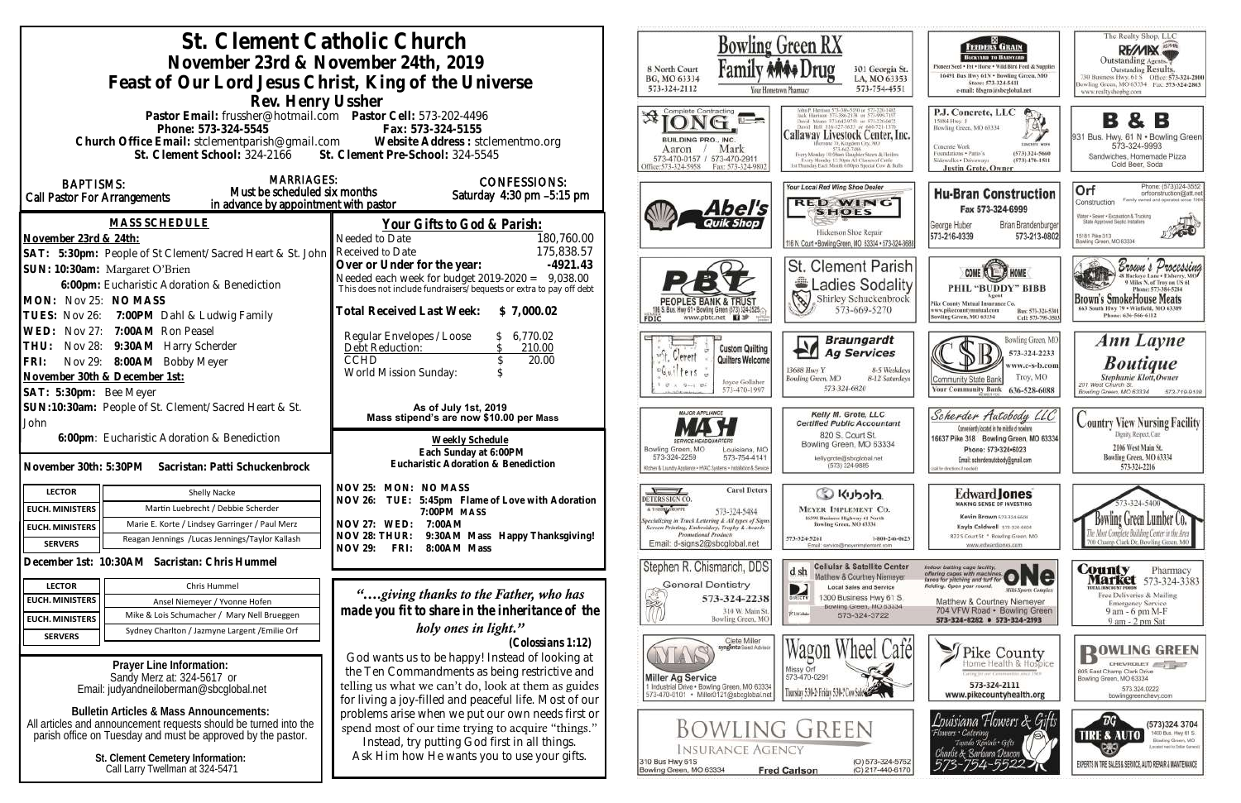| St. Clement Catholic Church<br>November 23rd & November 24th, 2019<br>Feast of Our Lord Jesus Christ, King of the Universe<br>Rev. Henry Ussher                                                                                                                                                                                                                                       |                                                                                                                                                                                                                                                                                                                                                                                                                                                   | Bowling Green RX<br>8 North Court<br>BG, MO 63334<br>573-324-2112                                                                                                                                                                                             | 301 Georgia St.<br>LA, MO 63353<br>573-754-4551                                                                                                                                                                                       |
|---------------------------------------------------------------------------------------------------------------------------------------------------------------------------------------------------------------------------------------------------------------------------------------------------------------------------------------------------------------------------------------|---------------------------------------------------------------------------------------------------------------------------------------------------------------------------------------------------------------------------------------------------------------------------------------------------------------------------------------------------------------------------------------------------------------------------------------------------|---------------------------------------------------------------------------------------------------------------------------------------------------------------------------------------------------------------------------------------------------------------|---------------------------------------------------------------------------------------------------------------------------------------------------------------------------------------------------------------------------------------|
| Pastor Email: frussher@hotmail.com    Pastor Cell: 573-202-4496<br>Phone: 573-324-5545<br>Church Office Email: stclementparish@gmail.com Website Address : stclementmo.org<br>St. Clement School: 324-2166 St. Clement Pre-School: 324-5545                                                                                                                                           | Fax: 573-324-5155                                                                                                                                                                                                                                                                                                                                                                                                                                 | Complete Contracting<br>IUILDING PRO., INC.<br>Mark<br>Aaron<br>573-470-0157 / 573-470-2911<br>Office:573-324-5958<br>Fax: 573-324-980                                                                                                                        | Callaway Livestock Center, Inc.<br>Berntate 70, Kingdom City, MC<br>573-642-7486<br>Every Monday 10:00am Slaughter Steers & Heifers<br>Every Monday 12:30pts All Classes of Catile<br>1st Thursday Each Month 6:00pm Special Cow & Br |
| <b>MARRIAGES:</b><br><b>BAPTISMS:</b><br>Must be scheduled six months<br><b>Call Pastor For Arrangements</b><br>in advance by appointment with pastor                                                                                                                                                                                                                                 | <b>CONFESSIONS:</b><br>Saturday 4:30 pm -5:15 pm                                                                                                                                                                                                                                                                                                                                                                                                  | Abel's                                                                                                                                                                                                                                                        | Your Local Red Wing Shoe Dealer<br><b>RED WING</b><br><b>SHOES</b>                                                                                                                                                                    |
| <b>MASS SCHEDULE</b><br>November 23rd & 24th:                                                                                                                                                                                                                                                                                                                                         | <u>Your Gifts to God &amp; Parish:</u><br>Needed to Date<br>180,760.00<br>175,838.57                                                                                                                                                                                                                                                                                                                                                              |                                                                                                                                                                                                                                                               | Hickerson Shoe Repair<br>116 N. Court . Bowling Green, MO 63334 - 573-324-3688                                                                                                                                                        |
| SAT: 5:30pm: People of St Clement/Sacred Heart & St. John Received to Date<br>SUN: 10:30am: Margaret O'Brien<br>6:00pm: Eucharistic Adoration & Benediction<br>MON: Nov 25: NO MASS<br>7:00PM Dahl & Ludwig Family<br>TUES: Nov 26:                                                                                                                                                   | Over or Under for the year:<br>$-4921.43$<br>Needed each week for budget 2019-2020 = 9,038.00<br>This does not include fundraisers/bequests or extra to pay off debt<br>Total Received Last Week:<br>\$7,000.02                                                                                                                                                                                                                                   | S. Bus. Hwy 61 . Bowling Green (573) 324-2525.<br>www.pbtc.net <b>Q</b><br>FDIC                                                                                                                                                                               | St. Clement Parish<br>Ladies Sodality<br>$\mathscr{D}$<br>Shirley Schuckenbrock<br>573-669-5270                                                                                                                                       |
| WED: Nov 27: 7:00AM Ron Peasel<br>Nov 28: 9:30AM Harry Scherder<br>THU:<br>Nov 29: 8:00AM Bobby Meyer<br>FRI:<br>November 30th & December 1st:<br>SAT: 5:30pm: Bee Meyer                                                                                                                                                                                                              | Regular Envelopes / Loose<br>6,770.02<br>Debt Reduction:<br>210.00<br><b>CCHD</b><br>20.00<br>World Mission Sunday:                                                                                                                                                                                                                                                                                                                               | <b>Custom Quilting</b><br>Quilters Welcome<br>Joyce Gollaher<br>573-470-199                                                                                                                                                                                   | <b>Braungardt</b><br><b>Ag Services</b><br>13688 Hwy Y<br>8-5 Weekdays<br>Bowling Green, MO<br>8-12 Saturdays<br>573-324-6820                                                                                                         |
| SUN:10:30am: People of St. Clement/Sacred Heart & St.<br>John<br>6:00pm: Eucharistic Adoration & Benediction<br>Sacristan: Patti Schuckenbrock<br>November 30th: 5:30PM                                                                                                                                                                                                               | As of July 1st, 2019<br>Mass stipend's are now \$10.00 per Mass<br>Weekly Schedule<br>Each Sunday at 6:00PM<br>Eucharistic Adoration & Benediction                                                                                                                                                                                                                                                                                                | <b>MAJOR APPLIANCE</b><br>Bowling Green, MO<br>Louisiana, MO<br>573-324-2259<br>573-754-4141<br>Other & Laundry Appliance - HVAC Systems - Installation & Service                                                                                             | Kelly M. Grote, LLC<br><b>Certified Public Accountant</b><br>820 S. Court St.<br>Bowling Green, MO 63334<br>kelly.grote@sbcglobal.net<br>(573) 324-9885                                                                               |
| <b>LECTOR</b><br>Shelly Nacke                                                                                                                                                                                                                                                                                                                                                         | NOV 25: MON: NO MASS                                                                                                                                                                                                                                                                                                                                                                                                                              | <b>Carol Deters</b>                                                                                                                                                                                                                                           | Colcolu) Co                                                                                                                                                                                                                           |
| Martin Luebrecht / Debbie Scherder<br><b>EUCH. MINISTERS</b>                                                                                                                                                                                                                                                                                                                          | NOV 26: TUE: 5:45pm Flame of Love with Adoration<br>7:00PM MASS                                                                                                                                                                                                                                                                                                                                                                                   | DETERS SIGN CO<br>A T-SBREATHOPPE<br>573-324-5484                                                                                                                                                                                                             | <b>MEYER IMPLEMENT CO.</b>                                                                                                                                                                                                            |
| Marie E. Korte / Lindsey Garringer / Paul Merz<br><b>EUCH. MINISTERS</b>                                                                                                                                                                                                                                                                                                              | NOV 27: WED:<br>7:00AM<br>9:30AM Mass Happy Thanksgiving!<br>NOV 28: THUR:                                                                                                                                                                                                                                                                                                                                                                        | Specializing in Truck Lettering & All types of Signs<br>Screen Printing, Embroidery, Trophy & Awards<br>Promotional Products                                                                                                                                  | 16398 Business Highway 61 North<br>Bowling Green, MO 63334                                                                                                                                                                            |
| Reagan Jennings / Lucas Jennings/Taylor Kallash<br><b>SERVERS</b>                                                                                                                                                                                                                                                                                                                     | <b>NOV 29:</b><br>8:00AM Mass<br>FRI:                                                                                                                                                                                                                                                                                                                                                                                                             | Email: d-signs2@sbcglobal.net                                                                                                                                                                                                                                 | 573-324-5261<br>1-800-246-0623<br>Email: service@msyerimplement.com                                                                                                                                                                   |
| December 1st: 10:30AM Sacristan: Chris Hummel                                                                                                                                                                                                                                                                                                                                         |                                                                                                                                                                                                                                                                                                                                                                                                                                                   | Stephen R. Chismarich, DDS                                                                                                                                                                                                                                    | <b>Cellular &amp; Satellite Center</b><br>d sh<br>Matthew & Courtney Niemeyer                                                                                                                                                         |
| <b>LECTOR</b><br>Chris Hummel                                                                                                                                                                                                                                                                                                                                                         | "giving thanks to the Father, who has                                                                                                                                                                                                                                                                                                                                                                                                             | <b>General Dentistry</b>                                                                                                                                                                                                                                      | D<br><b>Local Sales and Service</b>                                                                                                                                                                                                   |
| <b>EUCH. MINISTERS</b><br>Ansel Niemeyer / Yvonne Hofen<br>Mike & Lois Schumacher / Mary Nell Brueggen                                                                                                                                                                                                                                                                                | made you fit to share in the inheritance of the                                                                                                                                                                                                                                                                                                                                                                                                   | 573-324-2238<br>310 W. Main St.                                                                                                                                                                                                                               | 1300 Business Hwy 61 S.<br><b>GIRECTY</b><br>Bowling Green, MO 63334<br><b>Piatoke</b><br>573-324-3722                                                                                                                                |
| <b>EUCH. MINISTERS</b><br>Sydney Charlton / Jazmyne Largent / Emilie Orf                                                                                                                                                                                                                                                                                                              | holy ones in light."                                                                                                                                                                                                                                                                                                                                                                                                                              | Bowling Green, MO                                                                                                                                                                                                                                             |                                                                                                                                                                                                                                       |
| <b>SERVERS</b><br>Prayer Line Information:<br>Sandy Merz at: 324-5617 or<br>Email: judyandneiloberman@sbcglobal.net<br><b>Bulletin Articles &amp; Mass Announcements:</b><br>All articles and announcement requests should be turned into the<br>parish office on Tuesday and must be approved by the pastor.<br>St. Clement Cemetery Information:<br>Call Larry Twellman at 324-5471 | (Colossians 1:12)<br>God wants us to be happy! Instead of looking at<br>the Ten Commandments as being restrictive and<br>telling us what we can't do, look at them as guides<br>for living a joy-filled and peaceful life. Most of our<br>problems arise when we put our own needs first or<br>spend most of our time trying to acquire "things."<br>Instead, try putting God first in all things.<br>Ask Him how He wants you to use your gifts. | Clete Miller<br>syngenta Soud Advisor<br><b>Miller Ag Service</b><br>1 Industrial Drive . Bowling Green, MO 63334<br>573-470-0101 · Miller0121@sbcglobal.net<br><b>BOWLING GREEN</b><br><b>INSURANCE AGENCY</b><br>310 Bus Hwy 61S<br>Bowling Green, MO 63334 | Wagon<br>wheel<br>Missy Orf<br>573-470-0291<br>Thursday 5:34-2: Friday 5:34-7 Cov Sale@<br>$(O) 573 - 324 - 5762$<br><b>Fred Carlson</b><br>(C) 217-440-6170                                                                          |